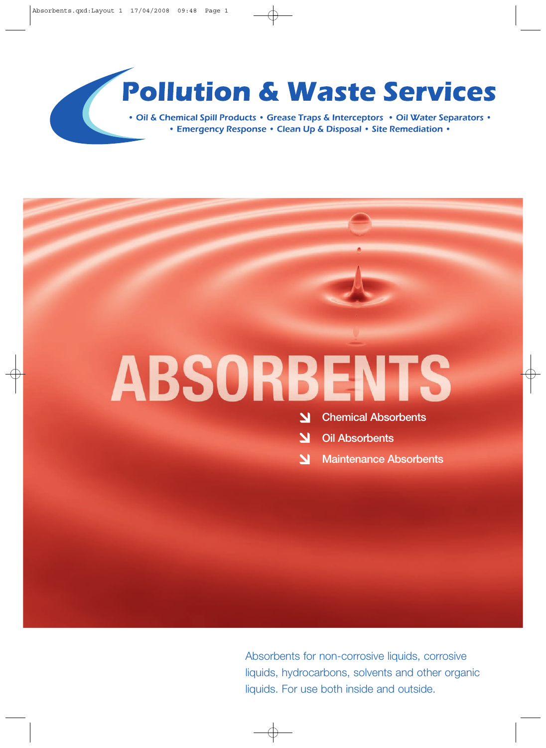### **Pollution & Waste Services**

• Oil & Chemical Spill Products • Grease Traps & Interceptors • Oil Water Separators • • Emergency Response • Clean Up & Disposal • Site Remediation •

# **ABSORBENTS**

**Chemical Absorbents** <u>у</u>

**Oil Absorbents**

**Maintenance Absorbents**

Absorbents for non-corrosive liquids, corrosive liquids, hydrocarbons, solvents and other organic liquids. For use both inside and outside.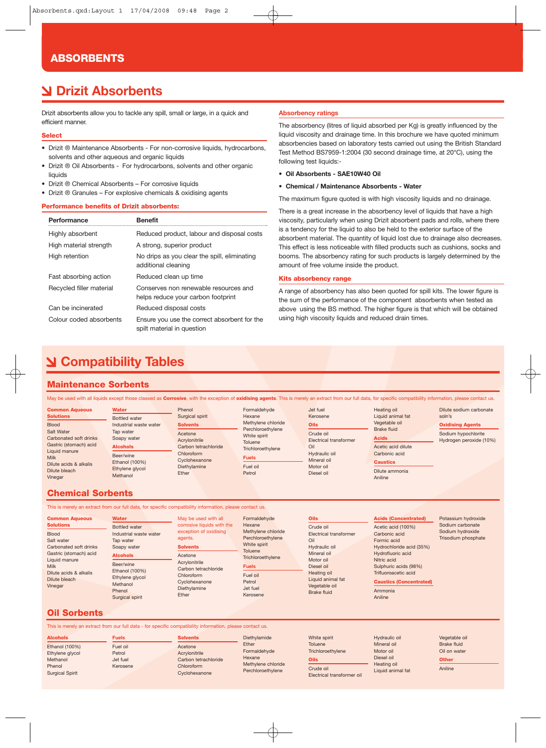#### **ABSORBENTS**

### **Drizit Absorbents**

Drizit absorbents allow you to tackle any spill, small or large, in a quick and efficient manner.

#### **Select**

- Drizit ® Maintenance Absorbents For non-corrosive liquids, hydrocarbons, solvents and other aqueous and organic liquids
- Drizit ® Oil Absorbents For hydrocarbons, solvents and other organic liquids
- Drizit ® Chemical Absorbents For corrosive liquids
- Drizit ® Granules For explosive chemicals & oxidising agents

#### **Performance benefits of Drizit absorbents:**

| Performance              | <b>Benefit</b>                                                              |
|--------------------------|-----------------------------------------------------------------------------|
| Highly absorbent         | Reduced product, labour and disposal costs                                  |
| High material strength   | A strong, superior product                                                  |
| High retention           | No drips as you clear the spill, eliminating<br>additional cleaning         |
| Fast absorbing action    | Reduced clean up time                                                       |
| Recycled filler material | Conserves non renewable resources and<br>helps reduce your carbon footprint |
| Can be incinerated       | Reduced disposal costs                                                      |
| Colour coded absorbents  | Ensure you use the correct absorbent for the<br>spilt material in question  |

#### **Absorbency ratings**

The absorbency (litres of liquid absorbed per Kg) is greatly influenced by the liquid viscosity and drainage time. In this brochure we have quoted minimum absorbencies based on laboratory tests carried out using the British Standard Test Method BS7959-1:2004 (30 second drainage time, at 20°C), using the following test liquids:-

**• Oil Absorbents - SAE10W40 Oil**

#### **• Chemical / Maintenance Absorbents - Water**

The maximum figure quoted is with high viscosity liquids and no drainage.

There is a great increase in the absorbency level of liquids that have a high viscosity, particularly when using Drizit absorbent pads and rolls, where there is a tendency for the liquid to also be held to the exterior surface of the absorbent material. The quantity of liquid lost due to drainage also decreases. This effect is less noticeable with filled products such as cushions, socks and booms. The absorbency rating for such products is largely determined by the amount of free volume inside the product.

#### **Kits absorbency range**

A range of absorbency has also been quoted for spill kits. The lower figure is the sum of the performance of the component absorbents when tested as above using the BS method. The higher figure is that which will be obtained using high viscosity liquids and reduced drain times.

### **Compatibility Tables**

#### **Maintenance Sorbents**

May be used with all liquids except those classed as **Corrosive**, with the exception of **oxidising agents**. This is merely an extract from our full data, for specific compatibility information, please contact us.

| <b>Common Aqueous</b>  | <b>Water</b>           | Phenol               | Formaldehyde            | Jet fuel                      | Heating oil        | Dilute sodium carbonate |
|------------------------|------------------------|----------------------|-------------------------|-------------------------------|--------------------|-------------------------|
| <b>Solutions</b>       | Bottled water          | Surgical spirit      | Hexane                  | Kerosene                      | Liquid animal fat  | soln's                  |
| <b>Blood</b>           | Industrial waste water | <b>Solvents</b>      | Methylene chloride      | <b>Oils</b>                   | Vegetable oil      | <b>Oxidising Agents</b> |
| Salt Water             | Tap water              | Acetone              | Perchloroethylene       | Crude oil                     | <b>Brake fluid</b> | Sodium hypochlorite     |
| Carbonated soft drinks | Soapy water            | Acrylonitrile        | White spirit<br>Toluene | <b>Electrical transformer</b> | <b>Acids</b>       | Hydrogen peroxide (10%) |
| Gastric (stomach) acid | <b>Alcohols</b>        | Carbon tetrachloride | Trichloroethylene       | Oil                           | Acetic acid dilute |                         |
| Liquid manure          | Beer/wine              | Chloroform           |                         | Hydraulic oil                 | Carbonic acid      |                         |
| <b>Milk</b>            | <b>Ethanol (100%)</b>  | Cyclohexanone        | <b>Fuels</b>            | Mineral oil                   | <b>Caustics</b>    |                         |
| Dilute acids & alkalis | Ethylene glycol        | Diethylamine         | Fuel oil                | Motor oil                     |                    |                         |
| Dilute bleach          | Methanol               | Ether                | Petrol                  | Diesel oil                    | Dilute ammonia     |                         |
| Vinegar                |                        |                      |                         |                               | Aniline            |                         |

#### **Chemical Sorbents**

This is merely an extract from our full data, for specific compatibility information, please contact us.

| <b>Common Aqueous</b>                                                                                                                                                             | <b>Water</b>                                                                                                                                                                             | May be used with all                                                                                                                                                                           | Formaldehyde                                                                                                                                                    | <b>Oils</b>                                                                                                                                                                      | <b>Acids (Concentrated)</b>                                                                                                                                                                                                 | Potassium hydroxide                                         |
|-----------------------------------------------------------------------------------------------------------------------------------------------------------------------------------|------------------------------------------------------------------------------------------------------------------------------------------------------------------------------------------|------------------------------------------------------------------------------------------------------------------------------------------------------------------------------------------------|-----------------------------------------------------------------------------------------------------------------------------------------------------------------|----------------------------------------------------------------------------------------------------------------------------------------------------------------------------------|-----------------------------------------------------------------------------------------------------------------------------------------------------------------------------------------------------------------------------|-------------------------------------------------------------|
| <b>Solutions</b><br><b>Blood</b><br>Salt water<br>Carbonated soft drinks<br>Gastric (stomach) acid<br>Liquid manure<br>Milk<br>Dilute acids & alkalis<br>Dilute bleach<br>Vinegar | <b>Bottled</b> water<br>Industrial waste water<br>Tap water<br>Soapy water<br><b>Alcohols</b><br>Beer/wine<br>Ethanol (100%)<br>Ethylene glycol<br>Methanol<br>Phenol<br>Surgical spirit | corrosive liquids with the<br>exception of oxidising<br>agents.<br><b>Solvents</b><br>Acetone<br>Acrylonitrile<br>Carbon tetrachloride<br>Chloroform<br>Cyclohexanone<br>Diethylamine<br>Ether | Hexane<br>Methylene chloride<br>Perchloroethylene<br>White spirit<br>Toluene<br>Trichloroethylene<br><b>Fuels</b><br>Fuel oil<br>Petrol<br>Jet fuel<br>Kerosene | Crude oil<br>Electrical transformer<br>Oil<br>Hydraulic oil<br>Mineral oil<br>Motor oil<br>Diesel oil<br>Heating oil<br>Liquid animal fat<br>Vegetable oil<br><b>Brake fluid</b> | Acetic acid (100%)<br>Carbonic acid<br>Formic acid<br>Hydrochloride acid (35%)<br>Hydrofluoric acid<br>Nitric acid<br>Sulphuric acids (98%)<br>Trifluoroacetic acid<br><b>Caustics (Concentrated)</b><br>Ammonia<br>Aniline | Sodium carbonate<br>Sodium hydroxide<br>Trisodium phosphate |

#### **Oil Sorbents**

This is merely an extract from our full data - for specific compatibility information, please contact us.

- **Alcohols** Ethanol (100%) Ethylene glycol **Methanol** Phenol Surgical Spirit **Fuels** Fuel oil Petrol Jet fuel Kerosene
- **Solvents** Acetone Acrylonitrile Carbon tetrachloride Chloroform **Cyclohexanone**
- Diethylamide Ether Formaldehyde **Hexane** Methylene chloride Perchloroethylene
- White spirit **Toluene Trichloroethylene Oils** Crude oil Electrical transformer oil
- Hydraulic oil Mineral oil Motor oil Diesel oil Heating oil Liquid animal fat
- Vegetable oil Brake fluid Oil on water **Other** Aniline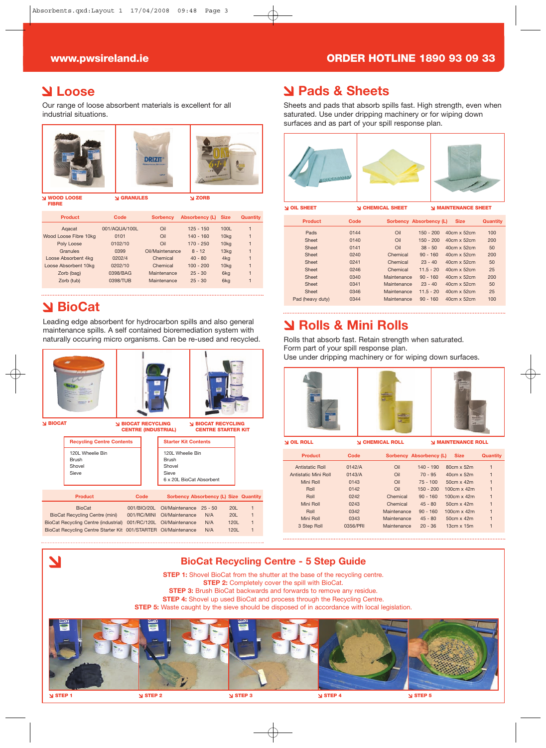#### **www.pwsireland.ie ORDER HOTLINE 1890 93 09 33**

#### **Loose**

Our range of loose absorbent materials is excellent for all industrial situations.



**FIBRE**

| <b>Product</b>        | Code          | <b>Sorbency</b> | Absorbency (L) | <b>Size</b>      | Quantity |
|-----------------------|---------------|-----------------|----------------|------------------|----------|
| Agacat                | 001/AQUA/100L | Oil             | $125 - 150$    | 100L             |          |
| Wood Loose Fibre 10kg | 0101          | Oil             | $140 - 160$    | 10 <sub>kq</sub> | 1        |
| Poly Loose            | 0102/10       | Oil             | $170 - 250$    | 10 <sub>kq</sub> |          |
| Granules              | 0399          | Oil/Maintenance | $8 - 12$       | 13 <sub>kq</sub> |          |
| Loose Absorbent 4kg   | 0202/4        | Chemical        | $40 - 80$      | 4 <sub>kg</sub>  |          |
| Loose Absorbent 10kg  | 0202/10       | Chemical        | $100 - 200$    | 10 <sub>kq</sub> |          |
| Zorb (bag)            | 0398/BAG      | Maintenance     | $25 - 30$      | 6kg              |          |
| Zorb (tub)            | 0398/TUB      | Maintenance     | $25 - 30$      | 6 <sub>kg</sub>  |          |
|                       |               |                 |                |                  |          |

### **BioCat**

Leading edge absorbent for hydrocarbon spills and also general maintenance spills. A self contained bioremediation system with naturally occuring micro organisms. Can be re-used and recycled.



|                                                                 |             | 6 x 20L BioCat Absorbent              |     |      |  |
|-----------------------------------------------------------------|-------------|---------------------------------------|-----|------|--|
| <b>Product</b>                                                  | Code        | Sorbency Absorbency (L) Size Quantity |     |      |  |
| <b>BioCat</b>                                                   | 001/BIO/20L | Oil/Maintenance 25 - 50               |     | 20L  |  |
| <b>BioCat Recycling Centre (mini)</b>                           | 001/RC/MINI | Oil/Maintenance                       | N/A | 20L  |  |
| <b>BioCat Recycling Centre (industrial)</b>                     |             | 001/RC/120L Oil/Maintenance           | N/A | 120L |  |
| BioCat Recycling Centre Starter Kit 001/STARTER Oil/Maintenance |             |                                       | N/A | 120L |  |
|                                                                 |             |                                       |     |      |  |

#### **Pads & Sheets**

Sheets and pads that absorb spills fast. High strength, even when saturated. Use under dripping machinery or for wiping down surfaces and as part of your spill response plan.



**OIL SHEET CHEMICAL SHEET MAINTENANCE SHEET**

| <b>Product</b>   | Code | Sorbency Absorbency (L) |             | <b>Size</b>        | <b>Quantity</b> |
|------------------|------|-------------------------|-------------|--------------------|-----------------|
| Pads             | 0144 | Oil                     | $150 - 200$ | 40cm x 52cm        | 100             |
| Sheet            | 0140 | Oil                     | $150 - 200$ | $40cm \times 52cm$ | 200             |
| Sheet            | 0141 | Oil                     | $38 - 50$   | $40cm \times 52cm$ | 50              |
| Sheet            | 0240 | Chemical                | $90 - 160$  | $40cm \times 52cm$ | 200             |
| Sheet            | 0241 | Chemical                | $23 - 40$   | $40cm \times 52cm$ | 50              |
| Sheet            | 0246 | Chemical                | $11.5 - 20$ | $40cm \times 52cm$ | 25              |
| Sheet            | 0340 | Maintenance             | $90 - 160$  | 40cm x 52cm        | 200             |
| Sheet            | 0341 | Maintenance             | $23 - 40$   | $40cm \times 52cm$ | 50              |
| Sheet            | 0346 | Maintenance             | $11.5 - 20$ | $40cm \times 52cm$ | 25              |
| Pad (heavy duty) | 0344 | Maintenance             | $90 - 160$  | $40cm \times 52cm$ | 100             |
|                  |      |                         |             |                    |                 |

### **Rolls & Mini Rolls**

Rolls that absorb fast. Retain strength when saturated. Form part of your spill response plan.

Use under dripping machinery or for wiping down surfaces.



**OIL ROLL CHEMICAL ROLL MAINTENANCE ROLL**

| <b>Product</b>       | Code     | Sorbency Absorbency (L) |             | <b>Size</b>        | Quantity |
|----------------------|----------|-------------------------|-------------|--------------------|----------|
| Antistatic Roll      | 0142/A   | Oil                     | $140 - 190$ | 80cm x 52m         | 1        |
| Antistatic Mini Roll | 0143/A   | Oil                     | $70 - 95$   | 40cm x 52m         |          |
| Mini Roll            | 0143     | Oil                     | $75 - 100$  | $50cm \times 42m$  | 1        |
| Roll                 | 0142     | Oil                     | $150 - 200$ | $100cm \times 42m$ | 1        |
| Roll                 | 0242     | Chemical                | $90 - 160$  | $100cm \times 42m$ | 1        |
| Mini Roll            | 0243     | Chemical                | $45 - 80$   | $50cm \times 42m$  | 1        |
| Roll                 | 0342     | Maintenance             | $90 - 160$  | $100cm \times 42m$ | 1        |
| Mini Roll            | 0343     | Maintenance             | $45 - 80$   | $50cm \times 42m$  | 1        |
| 3 Step Roll          | 0356/PRI | Maintenance             | $20 - 36$   | $13cm \times 15m$  |          |
|                      |          |                         |             |                    |          |

### $\overline{\phantom{a}}$ **BioCat Recycling Centre - 5 Step Guide STEP 1:** Shovel BioCat from the shutter at the base of the recycling centre. **STEP 2:** Completely cover the spill with BioCat. **STEP 3:** Brush BioCat backwards and forwards to remove any residue. **STEP 4:** Shovel up used BioCat and process through the Recycling Centre. **STEP 5:** Waste caught by the sieve should be disposed of in accordance with local legislation. **STEP 1 STEP 2 STEP 3 STEP 4 STEP 5**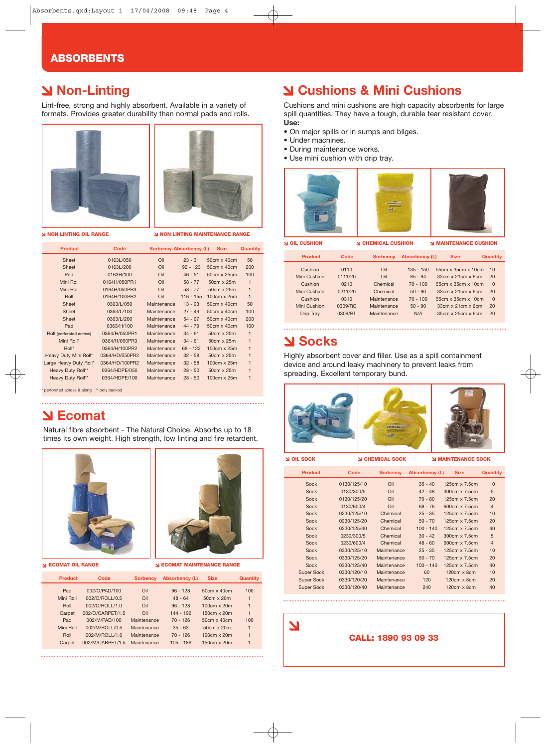#### **ABSORBENTS**

### **Non-Linting**

Lint-free, strong and highly absorbent. Available in a variety of formats. Provides greater durability than normal pads and rolls.





**NON LINTING OIL RANGE NON LINTING MAINTENANCE RANGE**

| <b>Product</b>           | Code           |             | <b>Sorbency Absorbency (L)</b> | <b>Size</b>        | Quantity     |
|--------------------------|----------------|-------------|--------------------------------|--------------------|--------------|
| Sheet                    | 0163L/050      | Oil         | $23 - 31$                      | 50cm x 40cm        | 50           |
| Sheet                    | 0163L/200      | Oil         | $92 - 123$                     | 50cm x 40cm        | 200          |
| Pad                      | 0163H/100      | Oil         | $46 - 51$                      | 50cm x 25cm        | 100          |
| Mini Roll                | 0164H/050PR1   | Oil         | $58 - 77$                      | 50cm x 25m         | $\mathbf{1}$ |
| Mini Roll                | 0164H/050PR3   | Oil         | $58 - 77$                      | $50cm \times 25m$  | $\mathbf{1}$ |
| Roll                     | 0164H/100PR2   | Oil         | $116 - 155$                    | 100cm x 25m        | $\mathbf{1}$ |
| Sheet                    | 0363/L/050     | Maintenance | $13 - 23$                      | 50cm x 40cm        | 50           |
| Sheet                    | 0363/L/100     | Maintenance | $27 - 49$                      | $50cm \times 40cm$ | 100          |
| Sheet                    | 0363/L/200     | Maintenance | $54 - 97$                      | 50cm x 40cm        | 200          |
| Pad                      | 0363/H/100     | Maintenance | $44 - 79$                      | $50cm \times 40cm$ | 100          |
| Roll (perforated across) | 0364/H/050PR1  | Maintenance | $34 - 61$                      | 50cm x 25m         | $\mathbf{1}$ |
| Mini Roll*               | 0364/H/050PR3  | Maintenance | $34 - 61$                      | 50cm x 25m         | $\mathbf{1}$ |
| Roll*                    | 0364/H/100PR2  | Maintenance | $68 - 122$                     | $100cm \times 25m$ | $\mathbf{1}$ |
| Heavy Duty Mini Roll*    | 0364/HD/050PR2 | Maintenance | $32 - 58$                      | 50cm x 25m         | $\mathbf{1}$ |
| Large Heavy Duty Roll*   | 0364/HD/100PR2 | Maintenance | $32 - 58$                      | 100cm x 25m        | $\mathbf{1}$ |
| Heavy Duty Roll**        | 0364/HDPE/050  | Maintenance | $28 - 50$                      | 50cm x 25m         | $\mathbf{1}$ |
| Heavy Duty Roll**        | 0364/HDPE/100  | Maintenance | $28 - 50$                      | 100cm x 25m        | $\mathbf{1}$ |

\* perforated across & along \*\* poly backed

### **Ecomat**

Natural fibre absorbent - The Natural Choice. Absorbs up to 18 times its own weight. High strength, low linting and fire retardent.





**ECOMAT OIL RANGE SERVICE RANGE SERVICE RANGE** 

| <b>Product</b> | Code             | <b>Sorbency</b> | Absorbency (L) | <b>Size</b>        | Quantity     |
|----------------|------------------|-----------------|----------------|--------------------|--------------|
| Pad            | 002/O/PAD/100    | Oil             | $96 - 128$     | $50cm \times 40cm$ | 100          |
| Mini Roll      | 002/O/ROLL/0.5   | Oil             | $48 - 64$      | 50cm x 20m         | $\mathbf{1}$ |
| Roll           | 002/O/ROLL/1.0   | Oil             | $96 - 128$     | 100cm x 20m        | 1            |
| Carpet         | 002/O/CARPET/1.5 | Oil             | $144 - 192$    | $150cm \times 20m$ | 1            |
| Pad            | 002/M/PAD/100    | Maintenance     | $70 - 126$     | $50cm \times 40cm$ | 100          |
| Mini Roll      | 002/M/ROLL/0.5   | Maintenance     | $35 - 63$      | 50cm x 20m         | $\mathbf{1}$ |
| Roll           | 002/M/ROLL/1.0   | Maintenance     | $70 - 126$     | 100cm x 20m        | 1            |
| Carpet         | 002/M/CARPET/1.5 | Maintenance     | $105 - 189$    | $150cm \times 20m$ | 1            |
|                |                  |                 |                |                    |              |

### **Cushions & Mini Cushions**

Cushions and mini cushions are high capacity absorbents for large spill quantities. They have a tough, durable tear resistant cover. **Use:** 

- On major spills or in sumps and bilges.
- Under machines.
- During maintenance works.
- Use mini cushion with drip tray.



**Product** Code Sorbency Absorbency (L) Size Cushion 0110 Oil 135 - 150 55cm x 35cm x 10cm 10<br>
Mini Cushion 0111/20 Oil 85 - 94 33cm x 21cm x 6cm 20 1111/20 0il 85 - 94 33cm x 21cm x 6cm 20<br>1210 016 016 0210 0210 055cm x 35cm x 10cm 10 Cushion 0210 Chemical 70 - 100 55cm x 35cm x 10cm 10 Mini Cushion 0211/20 Chemical 50 - 90 33cm x 21cm x 6cm 20 Cushion 0310 Maintenance 70 - 100 55cm x 35cm x 10cm 10<br>
lini Cushion 0309/RC Maintenance 50 - 90 33cm x 21cm x 6cm 20 Mini Cushion 0309/RC Maintenance 50 - 90 33cm x 21cm x 6cm 20 Drip Tray 0309/RT Maintenance N/A 35cm x 25cm x 6cm 20

#### **Socks**

Highly absorbent cover and filler. Use as a spill containment device and around leaky machinery to prevent leaks from spreading. Excellent temporary bund.



**OIL SOCK CHEMICAL SOCK MAINTENANCE SOCK**

| <b>Product</b>    | Code        | <b>Sorbency</b> | Absorbency (L) | <b>Size</b>          | <b>Quantity</b> |
|-------------------|-------------|-----------------|----------------|----------------------|-----------------|
| Sock              | 0130/125/10 | Oil             | $35 - 40$      | $125cm \times 7.5cm$ | 10              |
| Sock              | 0130/300/5  | Oil             | $42 - 48$      | 300cm x 7.5cm        | 5               |
| Sock              | 0130/125/20 | Oil             | $70 - 80$      | $125cm \times 7.5cm$ | 20              |
| Sock              | 0130/600/4  | Oil             | $68 - 76$      | $600cm \times 7.5cm$ | $\overline{4}$  |
| Sock              | 0230/125/10 | Chemical        | $25 - 35$      | $125cm \times 7.5cm$ | 10              |
| Sock              | 0230/125/20 | Chemical        | $50 - 70$      | $125cm \times 7.5cm$ | 20              |
| Sock              | 0230/125/40 | Chemical        | $100 - 140$    | $125cm \times 7.5cm$ | 40              |
| Sock              | 0230/300/5  | Chemical        | $30 - 42$      | $300cm \times 7.5cm$ | 5               |
| Sock              | 0230/600/4  | Chemical        | $48 - 60$      | $600cm \times 7.5cm$ | $\overline{4}$  |
| Sock              | 0330/125/10 | Maintenance     | $25 - 35$      | 125cm x 7.5cm        | 10              |
| Sock              | 0330/125/20 | Maintenance     | $50 - 70$      | $125cm \times 7.5cm$ | 20              |
| Sock              | 0330/125/40 | Maintenance     | $100 - 140$    | $125cm \times 7.5cm$ | 40              |
| <b>Super Sock</b> | 0330/120/10 | Maintenance     | 60             | $120cm \times 8cm$   | 10              |
| <b>Super Sock</b> | 0330/120/20 | Maintenance     | 120            | $120cm \times 8cm$   | 20              |
| <b>Super Sock</b> | 0330/120/40 | Maintenance     | 240            | $120cm \times 8cm$   | 40              |
|                   |             |                 |                |                      |                 |

7

#### **CALL: 1890 93 09 33**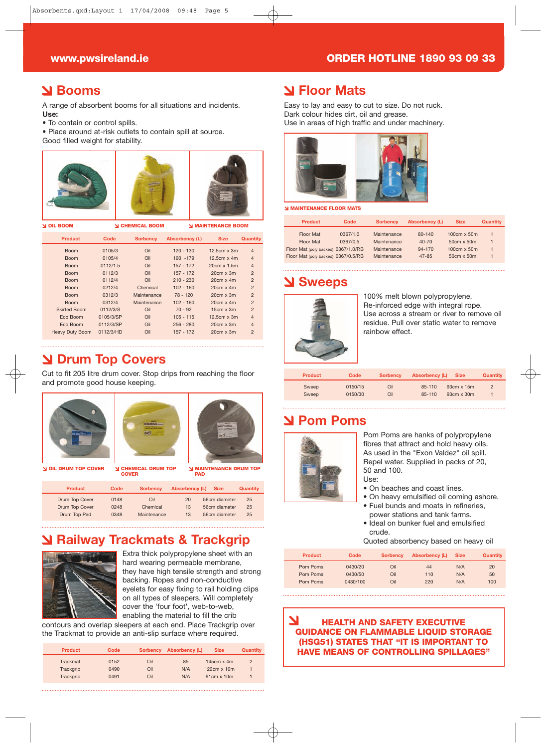#### **www.pwsireland.ie ORDER HOTLINE 1890 93 09 33**

#### **Booms**

A range of absorbent booms for all situations and incidents. **Use:** 

- To contain or control spills.
- Place around at-risk outlets to contain spill at source. Good filled weight for stability.

| <b>OIL BOOM</b> צ      |           | <b>CHEMICAL BOOM</b> |                | <b>MAINTENANCE BOOM</b> |                |  |
|------------------------|-----------|----------------------|----------------|-------------------------|----------------|--|
| <b>Product</b>         | Code      | <b>Sorbency</b>      | Absorbency (L) | <b>Size</b>             | Quantity       |  |
| <b>Boom</b>            | 0105/3    | Oil                  | $120 - 130$    | $12.5cm \times 3m$      | $\overline{4}$ |  |
| <b>Boom</b>            | 0105/4    | Oil                  | 160 - 179      | $12.5cm \times 4m$      | $\overline{4}$ |  |
| <b>Boom</b>            | 0112/1.5  | Oil                  | $157 - 172$    | 20cm x 1.5m             | $\overline{4}$ |  |
| <b>Boom</b>            | 0112/3    | Oil                  | $157 - 172$    | $20cm \times 3m$        | $\overline{2}$ |  |
| <b>Boom</b>            | 0112/4    | Oil                  | $210 - 230$    | $20cm \times 4m$        | $\overline{2}$ |  |
| <b>Boom</b>            | 0212/4    | Chemical             | $102 - 160$    | $20cm \times 4m$        | $\overline{2}$ |  |
| <b>Boom</b>            | 0312/3    | Maintenance          | $78 - 120$     | $20cm \times 3m$        | $\overline{2}$ |  |
| <b>Boom</b>            | 0312/4    | Maintenance          | $102 - 160$    | $20cm \times 4m$        | $\overline{2}$ |  |
| <b>Skirted Boom</b>    | 0112/3/S  | Oil                  | $70 - 92$      | $15cm \times 3m$        | $\overline{2}$ |  |
| Eco Boom               | 0105/3/SP | Oil                  | $105 - 115$    | $12.5cm \times 3m$      | $\overline{4}$ |  |
| Eco Boom               | 0112/3/SP | Oil                  | $256 - 280$    | $20cm \times 3m$        | $\overline{4}$ |  |
| <b>Heavy Duty Boom</b> | 0112/3/HD | Oil                  | 157 - 172      | $20cm \times 3m$        | $\overline{2}$ |  |
|                        |           |                      |                |                         |                |  |

### **Drum Top Covers**

Cut to fit 205 litre drum cover. Stop drips from reaching the floor and promote good house keeping.



### **Railway Trackmats & Trackgrip**



Extra thick polypropylene sheet with an hard wearing permeable membrane, they have high tensile strength and strong backing. Ropes and non-conductive eyelets for easy fixing to rail holding clips on all types of sleepers. Will completely cover the 'four foot', web-to-web, enabling the material to fill the crib

contours and overlap sleepers at each end. Place Trackgrip over the Trackmat to provide an anti-slip surface where required.

| <b>Product</b>  | Code | <b>Sorbency</b> | Absorbency (L) | <b>Size</b>        | Quantity       |
|-----------------|------|-----------------|----------------|--------------------|----------------|
| <b>Trackmat</b> | 0152 | Oil             | 85             | 145 $cm \times 4m$ | $\overline{2}$ |
| Trackgrip       | 0490 | Oil             | N/A            | $122cm \times 10m$ |                |
| Trackgrip       | 0491 | Oil             | N/A            | $91cm \times 10m$  |                |

#### **Floor Mats**

Easy to lay and easy to cut to size. Do not ruck. Dark colour hides dirt, oil and grease. Use in areas of high traffic and under machinery.



**N MAINTENANCE FLOOR MATS** 

| <b>Product</b>                       | Code     | <b>Sorbency</b> | Absorbency (L) | <b>Size</b>        | Quantity |
|--------------------------------------|----------|-----------------|----------------|--------------------|----------|
| Floor Mat                            | 0367/1.0 | Maintenance     | 80-140         | 100cm x 50m        |          |
| Floor Mat                            | 0367/0.5 | Maintenance     | $40 - 70$      | $50cm \times 50m$  |          |
| Floor Mat (poly backed) 0367/1.0/P.B |          | Maintenance     | 94-170         | $100cm \times 50m$ |          |
| Floor Mat (poly backed) 0367/0.5/P.B |          | Maintenance     | $47 - 85$      | $50cm \times 50m$  |          |

#### **Sweeps**



100% melt blown polypropylene. Re-inforced edge with integral rope. Use across a stream or river to remove oil residue. Pull over static water to remove rainbow effect.

| <b>Product</b> | Code    | <b>Sorbency</b> | Absorbency (L) | <b>Size</b>       | Quantity       |
|----------------|---------|-----------------|----------------|-------------------|----------------|
| Sweep          | 0150/15 | Oil             | 85-110         | $93cm \times 15m$ | $\overline{2}$ |
| Sweep          | 0150/30 | Oil             | 85-110         | $93cm \times 30m$ |                |

#### **Pom Poms**



Pom Poms are hanks of polypropylene fibres that attract and hold heavy oils. As used in the "Exon Valdez" oil spill. Repel water. Supplied in packs of 20, 50 and 100. Use:

- On beaches and coast lines.
- On heavy emulsified oil coming ashore. • Fuel bunds and moats in refineries,
- power stations and tank farms. • Ideal on bunker fuel and emulsified
- crude.
- Quoted absorbency based on heavy oil

| <b>Product</b>       | Code               | <b>Sorbency</b> | <b>Absorbency (L)</b> | <b>Size</b> | Quantity |
|----------------------|--------------------|-----------------|-----------------------|-------------|----------|
| Pom Poms<br>Pom Poms | 0430/20<br>0430/50 | Oil<br>Oil      | 44<br>110             | N/A<br>N/A  | 20<br>50 |
| Pom Poms             | 0430/100           | Oil             | 220                   | N/A         | 100      |

#### **HEALTH AND SAFETY EXECUTIVE GUIDANCE ON FLAMMABLE LIQUID STORAGE (HSG51) STATES THAT "IT IS IMPORTANT TO HAVE MEANS OF CONTROLLING SPILLAGES"**